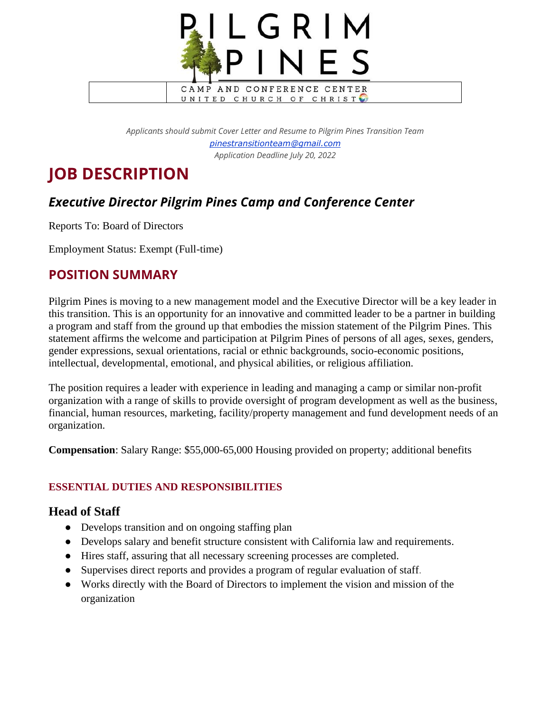

*Applicants should submit Cover Letter and Resume to Pilgrim Pines Transition Team [pinestransitionteam@gmail.com](mailto:pinestransitionteam@gmail.com) Application Deadline July 20, 2022*

# **JOB DESCRIPTION**

# *Executive Director Pilgrim Pines Camp and Conference Center*

Reports To: Board of Directors

Employment Status: Exempt (Full-time)

## **POSITION SUMMARY**

Pilgrim Pines is moving to a new management model and the Executive Director will be a key leader in this transition. This is an opportunity for an innovative and committed leader to be a partner in building a program and staff from the ground up that embodies the mission statement of the Pilgrim Pines. This statement affirms the welcome and participation at Pilgrim Pines of persons of all ages, sexes, genders, gender expressions, sexual orientations, racial or ethnic backgrounds, socio-economic positions, intellectual, developmental, emotional, and physical abilities, or religious affiliation.

The position requires a leader with experience in leading and managing a camp or similar non-profit organization with a range of skills to provide oversight of program development as well as the business, financial, human resources, marketing, facility/property management and fund development needs of an organization.

**Compensation**: Salary Range: \$55,000-65,000 Housing provided on property; additional benefits

## **ESSENTIAL DUTIES AND RESPONSIBILITIES**

## **Head of Staff**

- Develops transition and on ongoing staffing plan
- Develops salary and benefit structure consistent with California law and requirements.
- Hires staff, assuring that all necessary screening processes are completed.
- Supervises direct reports and provides a program of regular evaluation of staff.
- Works directly with the Board of Directors to implement the vision and mission of the organization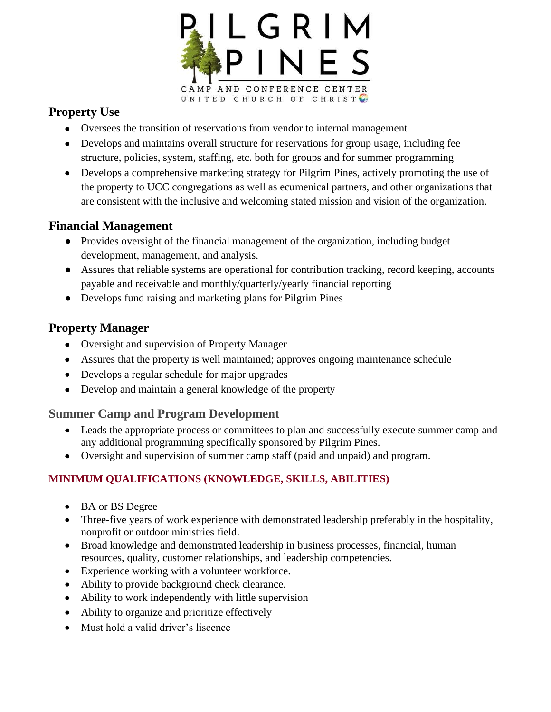

## **Property Use**

- Oversees the transition of reservations from vendor to internal management
- Develops and maintains overall structure for reservations for group usage, including fee structure, policies, system, staffing, etc. both for groups and for summer programming
- Develops a comprehensive marketing strategy for Pilgrim Pines, actively promoting the use of the property to UCC congregations as well as ecumenical partners, and other organizations that are consistent with the inclusive and welcoming stated mission and vision of the organization.

## **Financial Management**

- Provides oversight of the financial management of the organization, including budget development, management, and analysis.
- Assures that reliable systems are operational for contribution tracking, record keeping, accounts payable and receivable and monthly/quarterly/yearly financial reporting
- Develops fund raising and marketing plans for Pilgrim Pines

## **Property Manager**

- Oversight and supervision of Property Manager
- Assures that the property is well maintained; approves ongoing maintenance schedule
- Develops a regular schedule for major upgrades
- Develop and maintain a general knowledge of the property

## **Summer Camp and Program Development**

- Leads the appropriate process or committees to plan and successfully execute summer camp and any additional programming specifically sponsored by Pilgrim Pines.
- Oversight and supervision of summer camp staff (paid and unpaid) and program.

## **MINIMUM QUALIFICATIONS (KNOWLEDGE, SKILLS, ABILITIES)**

- BA or BS Degree
- Three-five years of work experience with demonstrated leadership preferably in the hospitality, nonprofit or outdoor ministries field.
- Broad knowledge and demonstrated leadership in business processes, financial, human resources, quality, customer relationships, and leadership competencies.
- Experience working with a volunteer workforce.
- Ability to provide background check clearance.
- Ability to work independently with little supervision
- Ability to organize and prioritize effectively
- Must hold a valid driver's liscence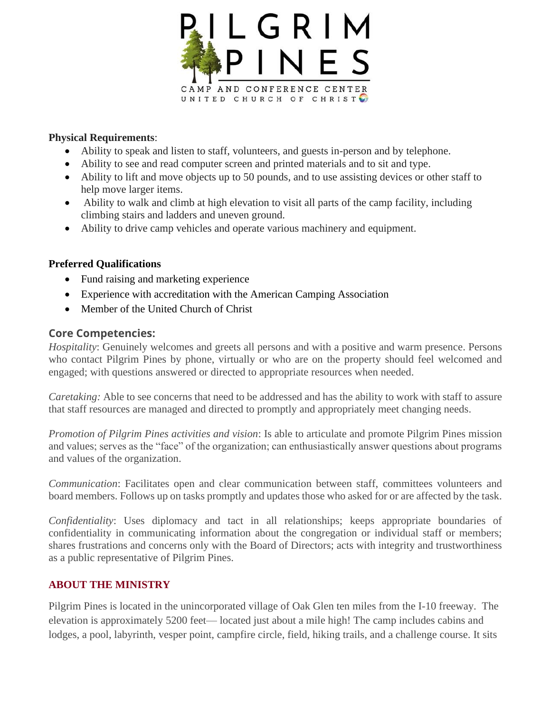

#### **Physical Requirements**:

- Ability to speak and listen to staff, volunteers, and guests in-person and by telephone.
- Ability to see and read computer screen and printed materials and to sit and type.
- Ability to lift and move objects up to 50 pounds, and to use assisting devices or other staff to help move larger items.
- Ability to walk and climb at high elevation to visit all parts of the camp facility, including climbing stairs and ladders and uneven ground.
- Ability to drive camp vehicles and operate various machinery and equipment.

#### **Preferred Qualifications**

- Fund raising and marketing experience
- Experience with accreditation with the American Camping Association
- Member of the United Church of Christ

#### **Core Competencies:**

*Hospitality*: Genuinely welcomes and greets all persons and with a positive and warm presence. Persons who contact Pilgrim Pines by phone, virtually or who are on the property should feel welcomed and engaged; with questions answered or directed to appropriate resources when needed.

*Caretaking:* Able to see concerns that need to be addressed and has the ability to work with staff to assure that staff resources are managed and directed to promptly and appropriately meet changing needs.

*Promotion of Pilgrim Pines activities and vision*: Is able to articulate and promote Pilgrim Pines mission and values; serves as the "face" of the organization; can enthusiastically answer questions about programs and values of the organization.

*Communication*: Facilitates open and clear communication between staff, committees volunteers and board members. Follows up on tasks promptly and updates those who asked for or are affected by the task.

*Confidentiality*: Uses diplomacy and tact in all relationships; keeps appropriate boundaries of confidentiality in communicating information about the congregation or individual staff or members; shares frustrations and concerns only with the Board of Directors; acts with integrity and trustworthiness as a public representative of Pilgrim Pines.

#### **ABOUT THE MINISTRY**

Pilgrim Pines is located in the unincorporated village of Oak Glen ten miles from the I-10 freeway. The elevation is approximately 5200 feet— located just about a mile high! The camp includes cabins and lodges, a pool, labyrinth, vesper point, campfire circle, field, hiking trails, and a challenge course. It sits